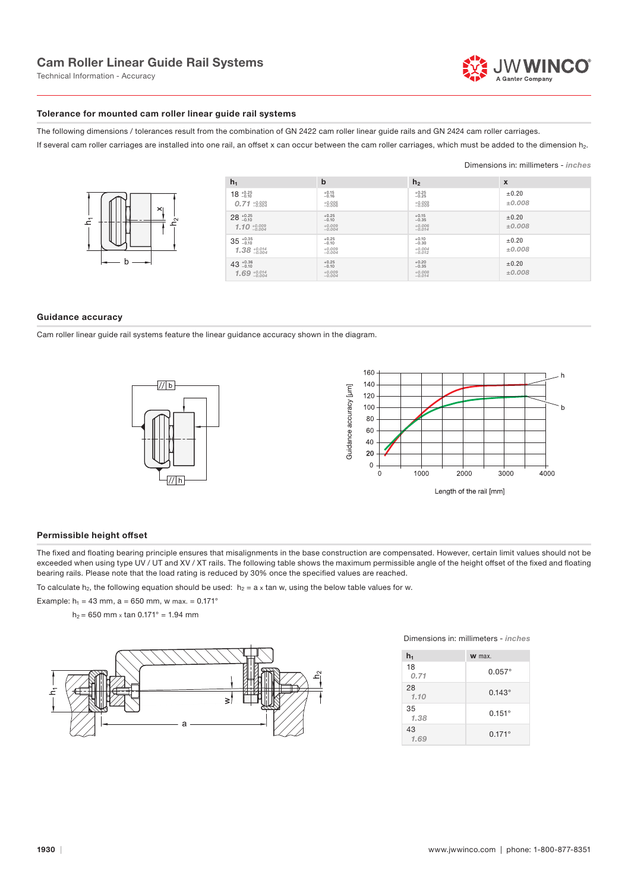Technical Information - Accuracy

### Tolerance for mounted cam roller linear guide rail systems

The following dimensions / tolerances result from the combination of GN 2422 cam roller linear guide rails and GN 2424 cam roller carriages.

If several cam roller carriages are installed into one rail, an offset x can occur between the cam roller carriages, which must be added to the dimension h<sub>2</sub>.

### Dimensions in: millimeters - inches



| $h_1$                                                | b                                          | h <sub>2</sub>                             | X                    |
|------------------------------------------------------|--------------------------------------------|--------------------------------------------|----------------------|
| $18^{+0.25}_{-0.10}$<br>$0.71 + 0.009$               | $+0.15$<br>$-0.16$<br>$+0.006$<br>$-0.006$ | $+0.25$<br>$-0.25$<br>$+0.009$<br>$-0.009$ | $\pm 0.20$<br>±0,008 |
| $28^{+0.25}_{-0.10}$<br>1.10 $\frac{+0.009}{-0.004}$ | $+0.25$<br>$-0.10$<br>$+0.009$<br>$-0.004$ | $+0.15$<br>$-0.35$<br>$+0.006$<br>$-0.014$ | $\pm 0.20$<br>±0,008 |
| $35^{+0.35}_{-0.10}$<br>$1.38 + 0.014$               | $+0.25$<br>$-0.10$<br>$+0.009$<br>$-0.004$ | $+0.10$<br>$-0.30$<br>$+0.004$<br>$-0.012$ | $\pm 0.20$<br>±0,008 |
| $43^{+0.36}_{-0.10}$<br>$1.69 + 0.014$               | $+0.25$<br>$-0.10$<br>$+0.009$<br>$-0.004$ | $+0.20$<br>$-0.35$<br>$+0.008$<br>$-0.014$ | $\pm 0.20$<br>±0,008 |

### Guidance accuracy

Cam roller linear guide rail systems feature the linear guidance accuracy shown in the diagram.





### Permissible height offset

The fixed and floating bearing principle ensures that misalignments in the base construction are compensated. However, certain limit values should not be exceeded when using type UV / UT and XV / XT rails. The following table shows the maximum permissible angle of the height offset of the fixed and floating bearing rails. Please note that the load rating is reduced by 30% once the specified values are reached.

To calculate h<sub>2</sub>, the following equation should be used:  $h_2 = a \times \tan w$ , using the below table values for w.

Example:  $h_1 = 43$  mm, a = 650 mm, w max. = 0.171°

 $h_2 = 650$  mm x tan  $0.171^\circ = 1.94$  mm



Dimensions in: millimeters - inches

| $h_1$      | <b>W</b> max.   |
|------------|-----------------|
| 18<br>0.71 | $0.057^{\circ}$ |
| 28<br>1.10 | $0.143^{\circ}$ |
| 35<br>1.38 | $0.151^{\circ}$ |
| 43<br>1.69 | $0.171^{\circ}$ |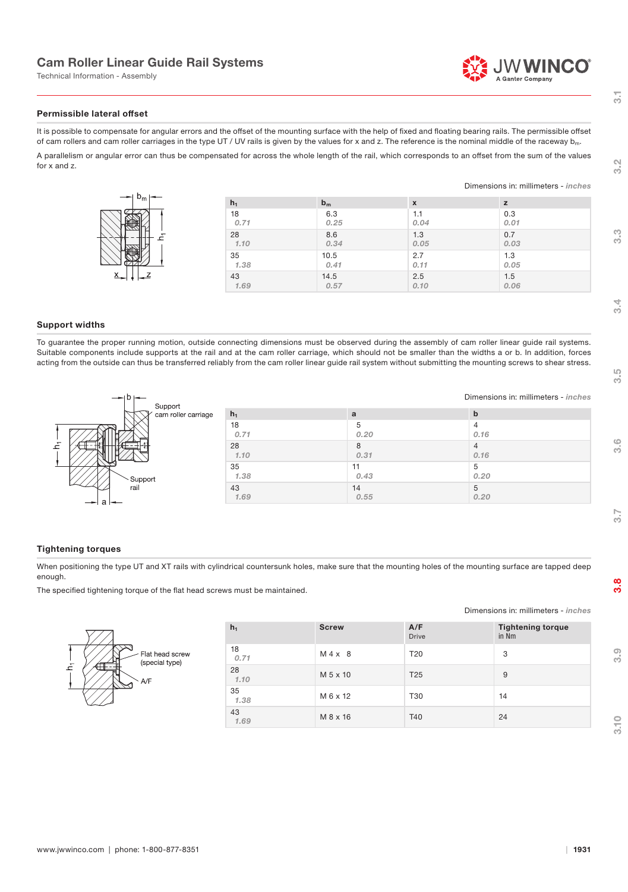# Cam Roller Linear Guide Rail Systems

Technical Information - Assembly



Dimensions in: millimeters - inches

Dimensions in: millimeters - inches

### Permissible lateral offset

It is possible to compensate for angular errors and the offset of the mounting surface with the help of fixed and floating bearing rails. The permissible offset of cam rollers and cam roller carriages in the type UT / UV rails is given by the values for x and z. The reference is the nominal middle of the raceway  $b_m$ . A parallelism or angular error can thus be compensated for across the whole length of the rail, which corresponds to an offset from the sum of the values

for x and z.

| $\nu_{\rm m}$ | $h_1$ | $b_m$ | $\boldsymbol{\mathsf{x}}$ |      |
|---------------|-------|-------|---------------------------|------|
|               | 18    | 6.3   | 1.1                       | 0.3  |
|               | 0.71  | 0.25  | 0.04                      | 0.01 |
|               | 28    | 8.6   | 1.3                       | 0.7  |
|               | 1.10  | 0.34  | 0.05                      | 0.03 |
|               | 35    | 10.5  | 2.7                       | 1.3  |
|               | 1.38  | 0.41  | 0.11                      | 0.05 |
| <u>Χ.</u>     | 43    | 14.5  | 2.5                       | 1.5  |
|               | 1.69  | 0.57  | 0.10                      | 0.06 |

### Support widths

To guarantee the proper running motion, outside connecting dimensions must be observed during the assembly of cam roller linear guide rail systems. Suitable components include supports at the rail and at the cam roller carriage, which should not be smaller than the widths a or b. In addition, forces acting from the outside can thus be transferred reliably from the cam roller linear guide rail system without submitting the mounting screws to shear stress.

| $\rightarrow$ $\circ$<br>Support |       |      | Dimensions in: millimeters - inches |  |
|----------------------------------|-------|------|-------------------------------------|--|
| cam roller carriage              | $h_1$ | a    | $\mathbf b$                         |  |
|                                  | 18    | 5    |                                     |  |
|                                  | 0.71  | 0.20 | 0.16                                |  |
|                                  | 28    | 8    |                                     |  |
|                                  | 1.10  | 0.31 | 0.16                                |  |
|                                  | 35    | 11   | 5                                   |  |
| Support                          | 1.38  | 0.43 | 0.20                                |  |
| rail                             | 43    | 14   | 5                                   |  |
|                                  | 1.69  | 0.55 | 0.20                                |  |

### Tightening torques

When positioning the type UT and XT rails with cylindrical countersunk holes, make sure that the mounting holes of the mounting surface are tapped deep enough.

The specified tightening torque of the flat head screws must be maintained.

# Flat head screw (special type)

| $h_1$      | <b>Screw</b> | A/F<br><b>Drive</b> | <b>Tightening torque</b><br>in Nm |
|------------|--------------|---------------------|-----------------------------------|
| 18<br>0.71 | M 4 x 8      | T <sub>20</sub>     | 3                                 |
| 28<br>1.10 | M 5 x 10     | T <sub>25</sub>     | 9                                 |
| 35<br>1.38 | M 6 x 12     | T30                 | 14                                |
| 43<br>1.69 | M 8 x 16     | T40                 | 24                                |

 $\overline{31}$ 

 $3.2$ 

 $3.3$ 

 $3\overline{4}$ 

 $3.5$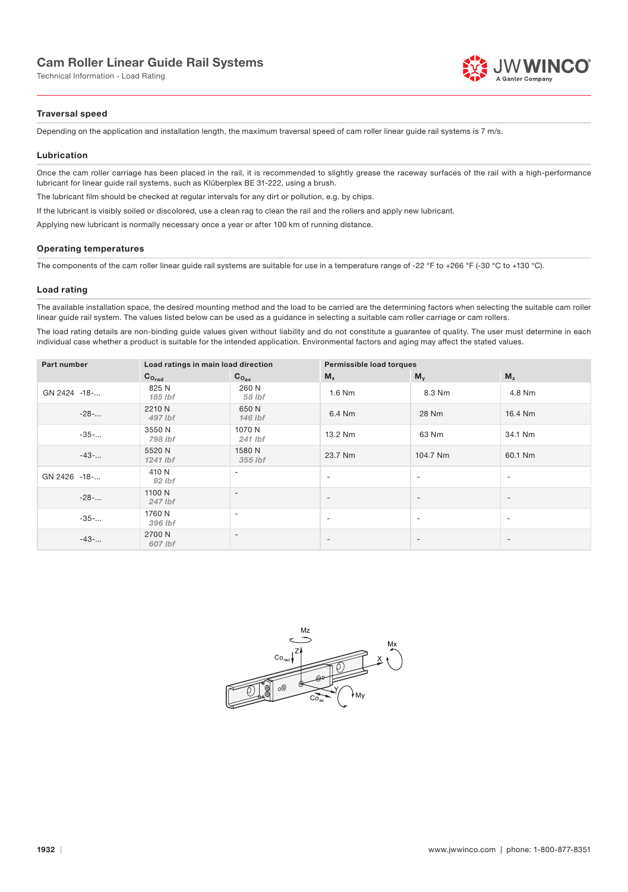# Cam Roller Linear Guide Rail Systems

Technical Information - Load Rating



### Traversal speed

Depending on the application and installation length, the maximum traversal speed of cam roller linear quide rail systems is 7 m/s.

### Lubrication

Once the cam roller carriage has been placed in the rail, it is recommended to slightly grease the raceway surfaces of the rail with a high-performance lubricant for linear guide rail systems, such as Klüberplex BE 31-222, using a brush.

The lubricant film should be checked at regular intervals for any dirt or pollution, e.g. by chips.

If the lubricant is visibly soiled or discolored, use a clean rag to clean the rail and the rollers and apply new lubricant.

Applying new lubricant is normally necessary once a year or after 100 km of running distance.

### Operating temperatures

The components of the cam roller linear guide rail systems are suitable for use in a temperature range of -22 °F to +266 °F (-30 °C to +130 °C).

### Load rating

The available installation space, the desired mounting method and the load to be carried are the determining factors when selecting the suitable cam roller linear guide rail system. The values listed below can be used as a guidance in selecting a suitable cam roller carriage or cam rollers.

The load rating details are non-binding guide values given without liability and do not constitute a guarantee of quality. The user must determine in each individual case whether a product is suitable for the intended application. Environmental factors and aging may affect the stated values.

| Part number  | Load ratings in main load direction |                          | Permissible load torques |                          |                          |
|--------------|-------------------------------------|--------------------------|--------------------------|--------------------------|--------------------------|
|              | $C_{O_{rad}}$                       | $C_{O_{\text{ax}}}$      | $M_{x}$                  | $M_{v}$                  | M <sub>z</sub>           |
| GN 2424 -18- | 825 N<br>185 lbf                    | 260 N<br>58 lbf          | 1.6 Nm                   | 8.3 Nm                   | 4.8 Nm                   |
| $-28$ -      | 2210 N<br>497 lbf                   | 650 N<br>146 lbf         | 6.4 Nm                   | 28 Nm                    | 16.4 Nm                  |
| $-35-$       | 3550 N<br>798 lbf                   | 1070 N<br>241 lbf        | 13.2 Nm                  | 63 Nm                    | 34.1 Nm                  |
| $-43-$       | 5520 N<br>1241 lbf                  | 1580 N<br>355 lbf        | 23.7 Nm                  | 104.7 Nm                 | 60.1 Nm                  |
| GN 2426 -18- | 410 N<br>$92$ lbf                   | $\overline{\phantom{a}}$ | $\overline{\phantom{a}}$ | $\overline{\phantom{a}}$ | $\overline{\phantom{0}}$ |
| $-28-$       | 1100 N<br>247 lbf                   | $\overline{\phantom{a}}$ | $\overline{\phantom{a}}$ | $\overline{\phantom{a}}$ | $\overline{\phantom{0}}$ |
| $-35-$       | 1760 N<br>396 lbf                   | $\qquad \qquad$          | $\overline{\phantom{a}}$ | $\overline{\phantom{a}}$ | $\overline{\phantom{a}}$ |
| $-43-$       | 2700 N<br>607 lbf                   | $\overline{\phantom{a}}$ | $\overline{\phantom{a}}$ | $\overline{a}$           |                          |